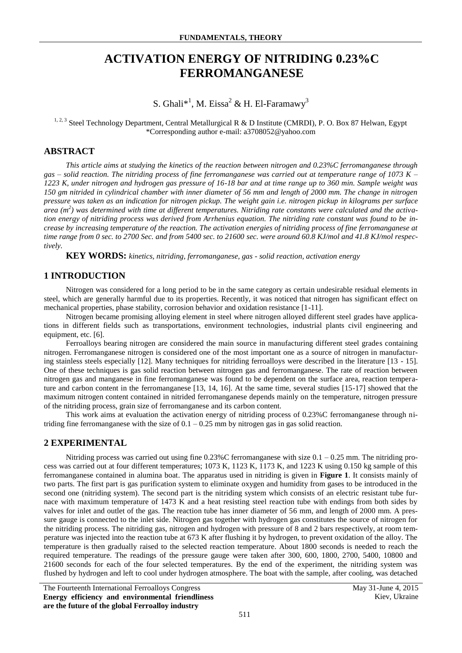# **ACTIVATION ENERGY OF NITRIDING 0.23%C FERROMANGANESE**

S. Ghali\*<sup>1</sup>, M. Eissa<sup>2</sup> & H. El-Faramawy<sup>3</sup>

<sup>1, 2, 3</sup> Steel Technology Department, Central Metallurgical R & D Institute (CMRDI), P. O. Box 87 Helwan, Egypt \*Corresponding author e-mail: a3708052@yahoo.com

### **ABSTRACT**

*This article aims at studying the kinetics of the reaction between nitrogen and 0.23%C ferromanganese through gas – solid reaction. The nitriding process of fine ferromanganese was carried out at temperature range of 1073 K – 1223 K, under nitrogen and hydrogen gas pressure of 16-18 bar and at time range up to 360 min. Sample weight was 150 gm nitrided in cylindrical chamber with inner diameter of 56 mm and length of 2000 mm. The change in nitrogen pressure was taken as an indication for nitrogen pickup. The weight gain i.e. nitrogen pickup in kilograms per surface area (m<sup>2</sup> ) was determined with time at different temperatures. Nitriding rate constants were calculated and the activation energy of nitriding process was derived from Arrhenius equation. The nitriding rate constant was found to be increase by increasing temperature of the reaction. The activation energies of nitriding process of fine ferromanganese at time range from 0 sec. to 2700 Sec. and from 5400 sec. to 21600 sec. were around 60.8 KJ/mol and 41.8 KJ/mol respectively.*

**KEY WORDS:** *kinetics, nitriding, ferromanganese, gas - solid reaction, activation energy*

# **1 INTRODUCTION**

Nitrogen was considered for a long period to be in the same category as certain undesirable residual elements in steel, which are generally harmful due to its properties. Recently, it was noticed that nitrogen has significant effect on mechanical properties, phase stability, corrosion behavior and oxidation resistance [1-11].

Nitrogen became promising alloying element in steel where nitrogen alloyed different steel grades have applications in different fields such as transportations, environment technologies, industrial plants civil engineering and equipment, etc. [6].

Ferroalloys bearing nitrogen are considered the main source in manufacturing different steel grades containing nitrogen. Ferromanganese nitrogen is considered one of the most important one as a source of nitrogen in manufacturing stainless steels especially [12]. Many techniques for nitriding ferroalloys were described in the literature [13 - 15]. One of these techniques is gas solid reaction between nitrogen gas and ferromanganese. The rate of reaction between nitrogen gas and manganese in fine ferromanganese was found to be dependent on the surface area, reaction temperature and carbon content in the ferromanganese [13, 14, 16]. At the same time, several studies [15-17] showed that the maximum nitrogen content contained in nitrided ferromanganese depends mainly on the temperature, nitrogen pressure of the nitriding process, grain size of ferromanganese and its carbon content.

This work aims at evaluation the activation energy of nitriding process of 0.23%C ferromanganese through nitriding fine ferromanganese with the size of  $0.1 - 0.25$  mm by nitrogen gas in gas solid reaction.

#### **2 EXPERIMENTAL**

Nitriding process was carried out using fine  $0.23\%$ C ferromanganese with size  $0.1 - 0.25$  mm. The nitriding process was carried out at four different temperatures; 1073 K, 1123 K, 1173 K, and 1223 K using 0.150 kg sample of this ferromanganese contained in alumina boat. The apparatus used in nitriding is given in **Figure 1**. It consists mainly of two parts. The first part is gas purification system to eliminate oxygen and humidity from gases to be introduced in the second one (nitriding system). The second part is the nitriding system which consists of an electric resistant tube furnace with maximum temperature of 1473 K and a heat resisting steel reaction tube with endings from both sides by valves for inlet and outlet of the gas. The reaction tube has inner diameter of 56 mm, and length of 2000 mm. A pressure gauge is connected to the inlet side. Nitrogen gas together with hydrogen gas constitutes the source of nitrogen for the nitriding process. The nitriding gas, nitrogen and hydrogen with pressure of 8 and 2 bars respectively, at room temperature was injected into the reaction tube at 673 K after flushing it by hydrogen, to prevent oxidation of the alloy. The temperature is then gradually raised to the selected reaction temperature. About 1800 seconds is needed to reach the required temperature. The readings of the pressure gauge were taken after 300, 600, 1800, 2700, 5400, 10800 and 21600 seconds for each of the four selected temperatures. By the end of the experiment, the nitriding system was flushed by hydrogen and left to cool under hydrogen atmosphere. The boat with the sample, after cooling, was detached

The Fourteenth International Ferroalloys Congress May 31-June 4, 2015 **Energy efficiency and environmental friendliness are the future of the global Ferroalloy industry**

Kiev, Ukraine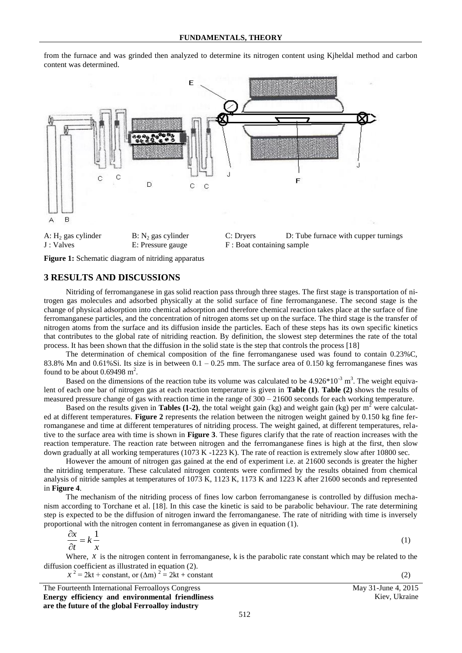from the furnace and was grinded then analyzed to determine its nitrogen content using Kjheldal method and carbon content was determined.



**Figure 1:** Schematic diagram of nitriding apparatus

#### **3 RESULTS AND DISCUSSIONS**

Nitriding of ferromanganese in gas solid reaction pass through three stages. The first stage is transportation of nitrogen gas molecules and adsorbed physically at the solid surface of fine ferromanganese. The second stage is the change of physical adsorption into chemical adsorption and therefore chemical reaction takes place at the surface of fine ferromanganese particles, and the concentration of nitrogen atoms set up on the surface. The third stage is the transfer of nitrogen atoms from the surface and its diffusion inside the particles. Each of these steps has its own specific kinetics that contributes to the global rate of nitriding reaction. By definition, the slowest step determines the rate of the total process. It has been shown that the diffusion in the solid state is the step that controls the process [18]

The determination of chemical composition of the fine ferromanganese used was found to contain 0.23%C, 83.8% Mn and 0.61%Si. Its size is in between  $0.1 - 0.25$  mm. The surface area of 0.150 kg ferromanganese fines was found to be about  $0.69498 \text{ m}^2$ .

Based on the dimensions of the reaction tube its volume was calculated to be  $4.926*10^{-3}$  m<sup>3</sup>. The weight equivalent of each one bar of nitrogen gas at each reaction temperature is given in **Table (1)**. **Table (2)** shows the results of measured pressure change of gas with reaction time in the range of 300 – 21600 seconds for each working temperature.

Based on the results given in **Tables (1-2)**, the total weight gain (kg) and weight gain (kg) per  $m^2$  were calculated at different temperatures. **Figure 2** represents the relation between the nitrogen weight gained by 0.150 kg fine ferromanganese and time at different temperatures of nitriding process. The weight gained, at different temperatures, relative to the surface area with time is shown in **Figure 3**. These figures clarify that the rate of reaction increases with the reaction temperature. The reaction rate between nitrogen and the ferromanganese fines is high at the first, then slow down gradually at all working temperatures (1073 K -1223 K). The rate of reaction is extremely slow after 10800 sec.

However the amount of nitrogen gas gained at the end of experiment i.e. at 21600 seconds is greater the higher the nitriding temperature. These calculated nitrogen contents were confirmed by the results obtained from chemical analysis of nitride samples at temperatures of 1073 K, 1123 K, 1173 K and 1223 K after 21600 seconds and represented in **Figure 4**.

The mechanism of the nitriding process of fines low carbon ferromanganese is controlled by diffusion mechanism according to Torchane et al. [18]. In this case the kinetic is said to be parabolic behaviour. The rate determining step is expected to be the diffusion of nitrogen inward the ferromanganese. The rate of nitriding with time is inversely proportional with the nitrogen content in ferromanganese as given in equation (1).

$$
\frac{\partial x}{\partial t} = k \frac{1}{x} \tag{1}
$$

Where,  $x$  is the nitrogen content in ferromanganese,  $k$  is the parabolic rate constant which may be related to the diffusion coefficient as illustrated in equation (2).

 $x^2 = 2kt + \text{constant}, \text{ or } (\Delta m)^2 = 2kt + \text{constant}$  (2)

The Fourteenth International Ferroalloys Congress May 31-June 4, 2015 **Energy efficiency and environmental friendliness are the future of the global Ferroalloy industry**

Kiev, Ukraine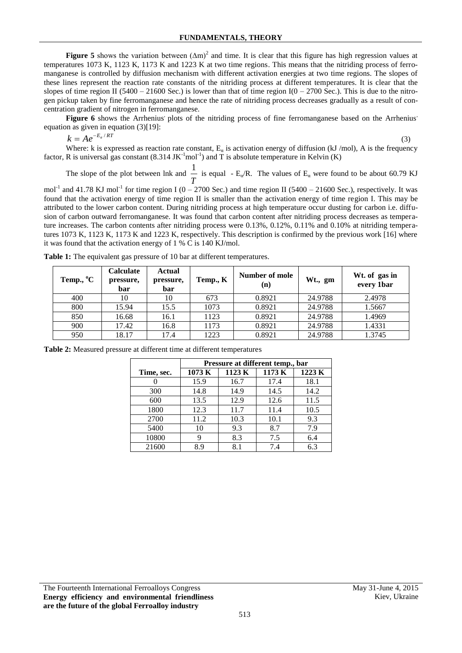**Figure 5** shows the variation between  $(\Delta m)^2$  and time. It is clear that this figure has high regression values at temperatures 1073 K, 1123 K, 1173 K and 1223 K at two time regions. This means that the nitriding process of ferromanganese is controlled by diffusion mechanism with different activation energies at two time regions. The slopes of these lines represent the reaction rate constants of the nitriding process at different temperatures. It is clear that the slopes of time region II (5400 – 21600 Sec.) is lower than that of time region  $I(0 - 2700 \text{ Sec.})$ . This is due to the nitrogen pickup taken by fine ferromanganese and hence the rate of nitriding process decreases gradually as a result of concentration gradient of nitrogen in ferromanganese.

Figure 6 shows the Arrhenius plots of the nitriding process of fine ferromanganese based on the Arrhenius' equation as given in equation (3)[19]:

 $k = Ae^{-E_a/RT}$ 

(3)

Where: k is expressed as reaction rate constant,  $E_{\alpha}$  is activation energy of diffusion (kJ/mol), A is the frequency factor, R is universal gas constant  $(8.314 \text{ JK}^{-1} \text{mol}^{-1})$  and T is absolute temperature in Kelvin  $(K)$ 

The slope of the plot between lnk and *T*  $\frac{1}{\pi}$  is equal - E<sub>α</sub>/R. The values of E<sub>α</sub> were found to be about 60.79 KJ

mol<sup>-1</sup> and 41.78 KJ mol<sup>-1</sup> for time region I (0 – 2700 Sec.) and time region II (5400 – 21600 Sec.), respectively. It was found that the activation energy of time region II is smaller than the activation energy of time region I. This may be attributed to the lower carbon content. During nitriding process at high temperature occur dusting for carbon i.e. diffusion of carbon outward ferromanganese. It was found that carbon content after nitriding process decreases as temperature increases. The carbon contents after nitriding process were 0.13%, 0.12%, 0.11% and 0.10% at nitriding temperatures 1073 K, 1123 K, 1173 K and 1223 K, respectively. This description is confirmed by the previous work [16] where it was found that the activation energy of 1 % C is 140 KJ/mol.

| Temp., <sup>o</sup> C | <b>Calculate</b><br>pressure,<br>bar | <b>Actual</b><br>pressure,<br>bar | Temp., K | Number of mole<br>(n) | Wt., gm | Wt. of gas in<br>every 1bar |
|-----------------------|--------------------------------------|-----------------------------------|----------|-----------------------|---------|-----------------------------|
| 400                   | 10                                   | 10                                | 673      | 0.8921                | 24.9788 | 2.4978                      |
| 800                   | 15.94                                | 15.5                              | 1073     | 0.8921                | 24.9788 | 1.5667                      |
| 850                   | 16.68                                | 16.1                              | 1123     | 0.8921                | 24.9788 | 1.4969                      |
| 900                   | 17.42                                | 16.8                              | 1173     | 0.8921                | 24.9788 | 1.4331                      |
| 950                   | 18.17                                | 17.4                              | 1223     | 0.8921                | 24.9788 | 1.3745                      |

**Table 1:** The equivalent gas pressure of 10 bar at different temperatures.

|            | Pressure at different temp., bar |       |       |        |  |  |  |
|------------|----------------------------------|-------|-------|--------|--|--|--|
| Time, sec. | 1073 K                           | 1123K | 1173K | 1223 K |  |  |  |
|            | 15.9                             | 16.7  | 17.4  | 18.1   |  |  |  |
| 300        | 14.8                             | 14.9  | 14.5  | 14.2   |  |  |  |
| 600        | 13.5                             | 12.9  | 12.6  | 11.5   |  |  |  |
| 1800       | 12.3                             | 11.7  | 11.4  | 10.5   |  |  |  |
| 2700       | 11.2                             | 10.3  | 10.1  | 9.3    |  |  |  |
| 5400       | 10                               | 9.3   | 8.7   | 7.9    |  |  |  |
| 10800      | 9                                | 8.3   | 7.5   | 6.4    |  |  |  |
| 21600      | 8.9                              | 8.1   | 7.4   | 6.3    |  |  |  |

**Table 2:** Measured pressure at different time at different temperatures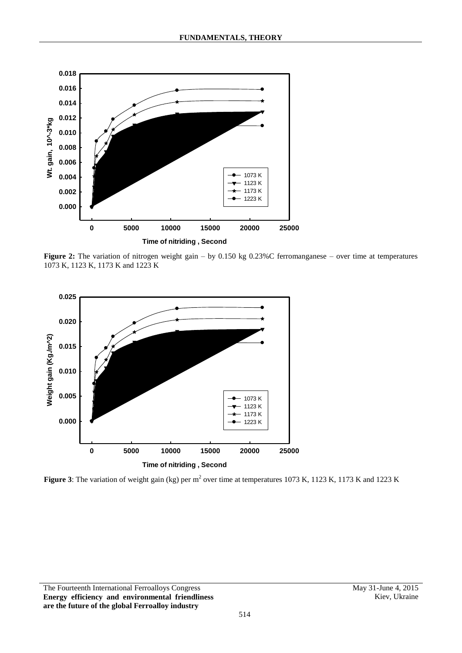

**Figure 2:** The variation of nitrogen weight gain – by 0.150 kg 0.23%C ferromanganese – over time at temperatures 1073 K, 1123 K, 1173 K and 1223 K



**Figure 3**: The variation of weight gain (kg) per  $m^2$  over time at temperatures 1073 K, 1123 K, 1173 K and 1223 K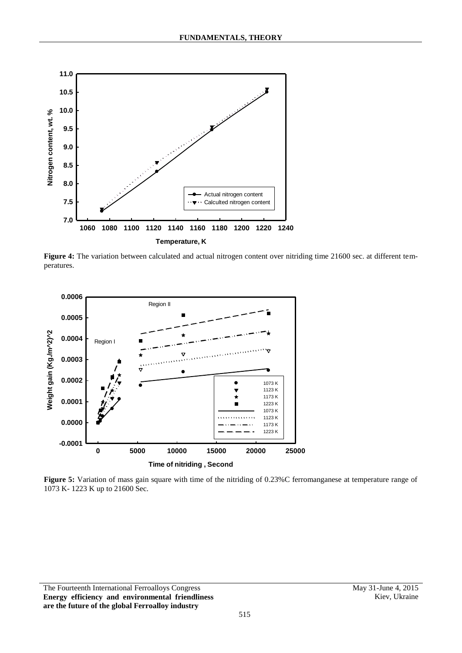

**Figure 4:** The variation between calculated and actual nitrogen content over nitriding time 21600 sec. at different temperatures.



**Figure 5:** Variation of mass gain square with time of the nitriding of 0.23%C ferromanganese at temperature range of 1073 K- 1223 K up to 21600 Sec.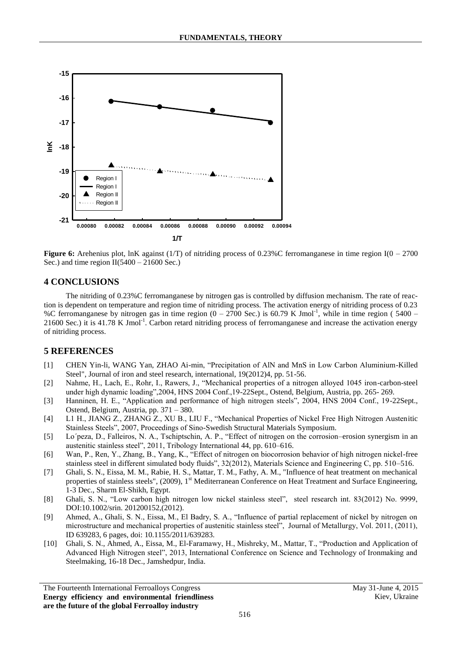

**Figure 6:** Arehenius plot, lnK against (1/T) of nitriding process of 0.23%C ferromanganese in time region I(0 – 2700) Sec.) and time region  $II(5400 - 21600$  Sec.)

## **4 CONCLUSIONS**

The nitriding of 0.23%C ferromanganese by nitrogen gas is controlled by diffusion mechanism. The rate of reaction is dependent on temperature and region time of nitriding process. The activation energy of nitriding process of 0.23 %C ferromanganese by nitrogen gas in time region  $(0 - 2700$  Sec.) is 60.79 K Jmol<sup>-1</sup>, while in time region (5400 – 21600 Sec.) it is 41.78 K Jmol<sup>-1</sup>. Carbon retard nitriding process of ferromanganese and increase the activation energy of nitriding process.

# **5 REFERENCES**

- [1] CHEN Yin-li, WANG Yan, ZHAO Ai-min, "Precipitation of AlN and MnS in Low Carbon Aluminium-Killed Steel", Journal of iron and steel research, international, 19(2012)4, pp. 51-56.
- [2] Nahme, H., Lach, E., Rohr, I., Rawers, J., "Mechanical properties of a nitrogen alloyed 1045 iron-carbon-steel under high dynamic loading",2004, HNS 2004 Conf.,19-22Sept., Ostend, Belgium, Austria, pp. 265- 269.
- [3] Hanninen, H. E., "Application and performance of high nitrogen steels", 2004, HNS 2004 Conf., 19-22Sept., Ostend, Belgium, Austria, pp. 371 – 380.
- [4] L1 H., JIANG Z., ZHANG Z., XU B., LIU F., "Mechanical Properties of Nickel Free High Nitrogen Austenitic Stainless Steels", 2007, Proceedings of Sino-Swedish Structural Materials Symposium.
- [5] Lo´peza, D., Falleiros, N. A., Tschiptschin, A. P., "Effect of nitrogen on the corrosion–erosion synergism in an austenitic stainless steel", 2011, Tribology International 44, pp. 610–616.
- [6] Wan, P., Ren, Y., Zhang, B., Yang, K., "Effect of nitrogen on biocorrosion behavior of high nitrogen nickel-free stainless steel in different simulated body fluids", 32(2012), Materials Science and Engineering C, pp. 510–516.
- [7] Ghali, S. N., Eissa, M. M., Rabie, H. S., Mattar, T. M., Fathy, A. M., "Influence of heat treatment on mechanical properties of stainless steels", (2009), 1<sup>st</sup> Mediterranean Conference on Heat Treatment and Surface Engineering, 1-3 Dec., Sharm El-Shikh, Egypt.
- [8] Ghali, S. N., "Low carbon high nitrogen low nickel stainless steel", steel research int. 83(2012) No. 9999, DOI:10.1002/srin. 201200152,(2012).
- [9] Ahmed, A., Ghali, S. N., Eissa, M., El Badry, S. A., "Influence of partial replacement of nickel by nitrogen on microstructure and mechanical properties of austenitic stainless steel", Journal of Metallurgy, Vol. 2011, (2011), ID 639283, 6 pages, doi: 10.1155/2011/639283.
- [10] Ghali, S. N., Ahmed, A., Eissa, M., El-Faramawy, H., Mishreky, M., Mattar, T., "Production and Application of Advanced High Nitrogen steel", 2013, International Conference on Science and Technology of Ironmaking and Steelmaking, 16-18 Dec., Jamshedpur, India.

The Fourteenth International Ferroalloys Congress May 31-June 4, 2015 **Energy efficiency and environmental friendliness are the future of the global Ferroalloy industry**